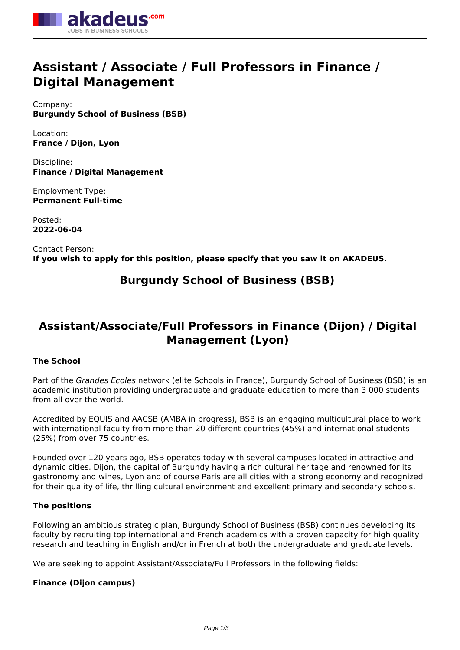

# **Assistant / Associate / Full Professors in Finance / Digital Management**

Company: **Burgundy School of Business (BSB)**

Location: **France / Dijon, Lyon**

Discipline: **Finance / Digital Management**

Employment Type: **Permanent Full-time**

Posted: **2022-06-04**

Contact Person: **If you wish to apply for this position, please specify that you saw it on AKADEUS.**

# **Burgundy School of Business (BSB)**

# **Assistant/Associate/Full Professors in Finance (Dijon) / Digital Management (Lyon)**

## **The School**

Part of the *Grandes Ecoles* network (elite Schools in France), Burgundy School of Business (BSB) is an academic institution providing undergraduate and graduate education to more than 3 000 students from all over the world.

Accredited by EQUIS and AACSB (AMBA in progress), BSB is an engaging multicultural place to work with international faculty from more than 20 different countries (45%) and international students (25%) from over 75 countries.

Founded over 120 years ago, BSB operates today with several campuses located in attractive and dynamic cities. Dijon, the capital of Burgundy having a rich cultural heritage and renowned for its gastronomy and wines, Lyon and of course Paris are all cities with a strong economy and recognized for their quality of life, thrilling cultural environment and excellent primary and secondary schools.

### **The positions**

Following an ambitious strategic plan, Burgundy School of Business (BSB) continues developing its faculty by recruiting top international and French academics with a proven capacity for high quality research and teaching in English and/or in French at both the undergraduate and graduate levels.

We are seeking to appoint Assistant/Associate/Full Professors in the following fields:

### **Finance (Dijon campus)**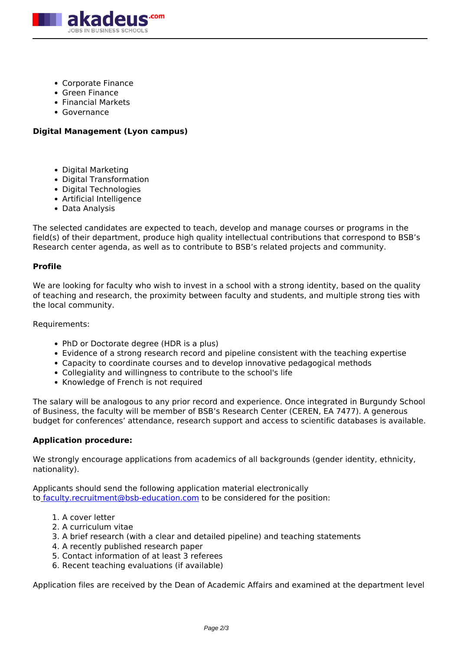

- Corporate Finance
- Green Finance
- Financial Markets
- Governance

#### **Digital Management (Lyon campus)**

- Digital Marketing
- Digital Transformation
- Digital Technologies
- Artificial Intelligence
- Data Analysis

The selected candidates are expected to teach, develop and manage courses or programs in the field(s) of their department, produce high quality intellectual contributions that correspond to BSB's Research center agenda, as well as to contribute to BSB's related projects and community.

#### **Profile**

We are looking for faculty who wish to invest in a school with a strong identity, based on the quality of teaching and research, the proximity between faculty and students, and multiple strong ties with the local community.

Requirements:

- PhD or Doctorate degree (HDR is a plus)
- Evidence of a strong research record and pipeline consistent with the teaching expertise
- Capacity to coordinate courses and to develop innovative pedagogical methods
- Collegiality and willingness to contribute to the school's life
- Knowledge of French is not required

The salary will be analogous to any prior record and experience. Once integrated in Burgundy School of Business, the faculty will be member of BSB's Research Center (CEREN, EA 7477). A generous budget for conferences' attendance, research support and access to scientific databases is available.

#### **Application procedure:**

We strongly encourage applications from academics of all backgrounds (gender identity, ethnicity, nationality).

Applicants should send the following application material electronically to [faculty.recruitment@bsb-education.com](mailto:faculty.recruitment@bsb-education.com) to be considered for the position:

- 1. A cover letter
- 2. A curriculum vitae
- 3. A brief research (with a clear and detailed pipeline) and teaching statements
- 4. A recently published research paper
- 5. Contact information of at least 3 referees
- 6. Recent teaching evaluations (if available)

Application files are received by the Dean of Academic Affairs and examined at the department level